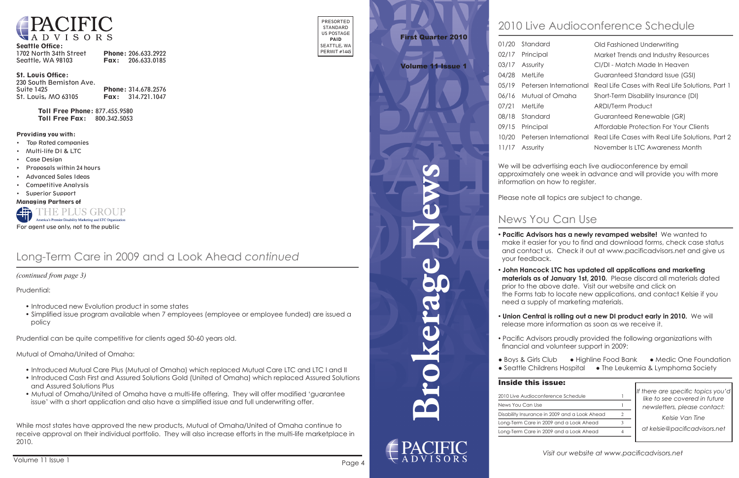

#### Seattle Office:

| 1702 North 34th Street | Phone: 206.633.2922      |
|------------------------|--------------------------|
| Seattle, WA 98103      | <b>Fax:</b> 206.633.0185 |

#### St. Louis Office:

| 230 South Bemiston Ave. |                          |
|-------------------------|--------------------------|
| <b>Suite 1425</b>       | Phone: 314.678.2576      |
| St. Louis, MO 63105     | <b>Fax:</b> 314.721.1047 |

Toll Free Phone: 877.455.9580 Toll Free Fax: 800.342.5053

PRESORTED STANDARD US POSTAGE PAID SEATTLE, WA PERMIT #1445

#### Providing you with:

- • Top Rated companies
- • Multi-life DI & LTC
- **Case Design**
- • Proposals within 24 hours
- **Advanced Sales Ideas**
- **Competitive Analysis**
- • Superior Support

Managing Partners of



**Brokerage News**

# News You Can Use

*If there are specific topics you'd like to see covered in future newsletters, please contact:*

*Kelsie Van Tine*

*at kelsie@pacificadvisors.net*

## Inside this issue:

2010 Live Audiocor News You Can Use Disability Insurance Long-Term Care in Long-Term Care in

# First Quarter 2010

### Volume 11 Issue 1

• **Union Central is rolling out a new DI product early in 2010.** We will release more information as soon as we receive it.

# 2010 Live Audioconference Schedule

| iference Schedule        |  |
|--------------------------|--|
|                          |  |
| in 2009 and a Look Ahead |  |
| 2009 and a Look Ahead    |  |
| 2009 and a Look Ahead    |  |

• **Pacific Advisors has a newly revamped website!** We wanted to make it easier for you to find and download forms, check case status and contact us. Check it out at www.pacificadvisors.net and give us

- your feedback.
- 
- 
- 
- 
- 

 • **John Hancock LTC has updated all applications and marketing materials as of January 1st, 2010.** Please discard all materials dated prior to the above date. Visit our website and click on the Forms tab to locate new applications, and contact Kelsie if you need a supply of marketing materials.



| 01/20 | Standard                     | Old Fashioned Underwriting                                              |
|-------|------------------------------|-------------------------------------------------------------------------|
| 02/17 | Principal                    | Market Trends and Industry Resources                                    |
| 03/17 | Assurity                     | CI/DI - Match Made In Heaven                                            |
| 04/28 | MetLife                      | Guaranteed Standard Issue (GSI)                                         |
|       | 05/19 Petersen International | Real Life Cases with Real Life Solutions, Part 1                        |
| 06/16 | Mutual of Omaha              | Short-Term Disability Insurance (DI)                                    |
| 07/21 | MetLife                      | ARDI/Term Product                                                       |
| 08/18 | Standard                     | Guaranteed Renewable (GR)                                               |
| 09/15 | Principal                    | Affordable Protection For Your Clients                                  |
| 10/20 |                              | Petersen International Real Life Cases with Real Life Solutions, Part 2 |
| 11/17 | Assurity                     | November Is LTC Awareness Month                                         |
|       |                              |                                                                         |

We will be advertising each live audioconference by email approximately one week in advance and will provide you with more information on how to register.

Please note all topics are subject to change.

• Pacific Advisors proudly provided the following organizations with financial and volunteer support in 2009:

● Boys & Girls Club ● Highline Food Bank ● Medic One Foundation ● Seattle Childrens Hospital ● The Leukemia & Lymphoma Society

 *(continued from page 3)*

## Long-Term Care in 2009 and a Look Ahead *continued*

Prudential:

- Introduced new Evolution product in some states
- Simplified issue program available when 7 employees (employee or employee funded) are issued a policy

Prudential can be quite competitive for clients aged 50-60 years old.

Mutual of Omaha/United of Omaha:

- Introduced Mutual Care Plus (Mutual of Omaha) which replaced Mutual Care LTC and LTC I and II
- Introduced Cash First and Assured Solutions Gold (United of Omaha) which replaced Assured Solutions and Assured Solutions Plus
- Mutual of Omaha/United of Omaha have a multi-life offering. They will offer modified 'guarantee issue' with a short application and also have a simplified issue and full underwriting offer.

While most states have approved the new products, Mutual of Omaha/United of Omaha continue to receive approval on their individual portfolio. They will also increase efforts in the multi-life marketplace in 2010.